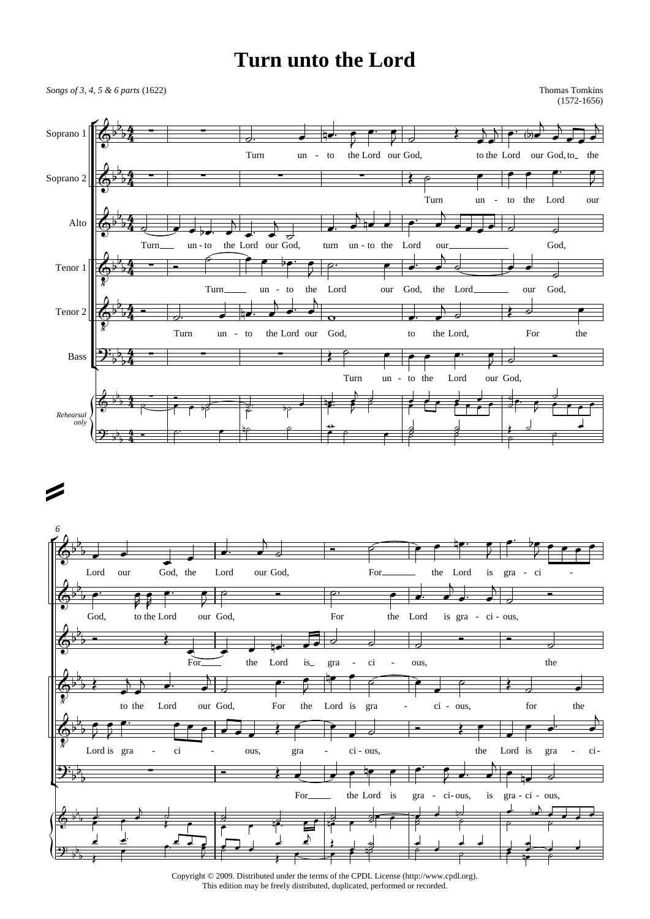## **Turn unto the Lord**

*Songs of 3, 4, 5 & 6 parts* (1622)

Thomas Tomkins (1572-1656)





Copyright © 2009. Distributed under the terms of the CPDL License (http://www.cpdl.org). This edition may be freely distributed, duplicated, performed or recorded.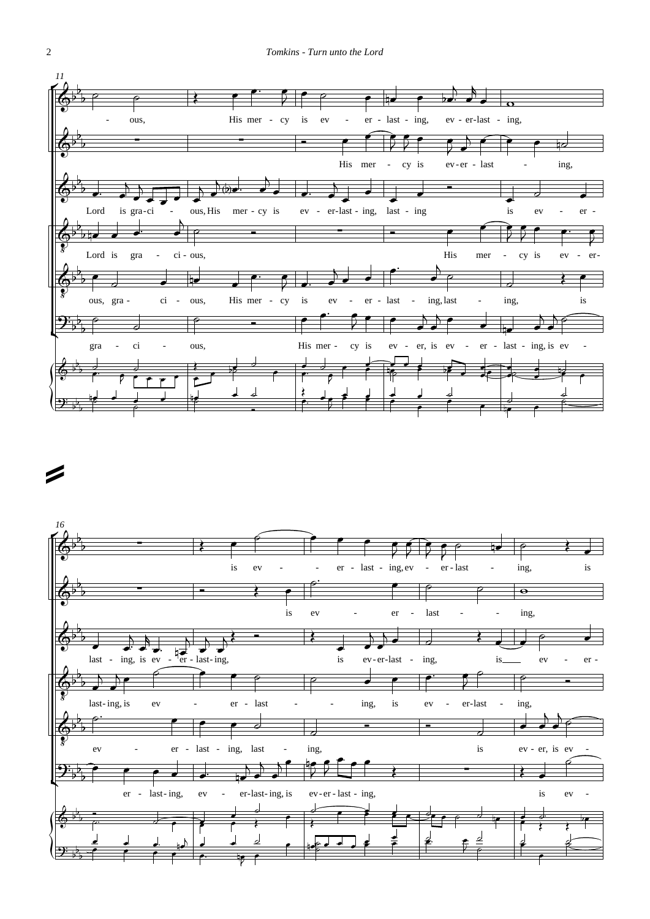



 $\overline{\phantom{a}}$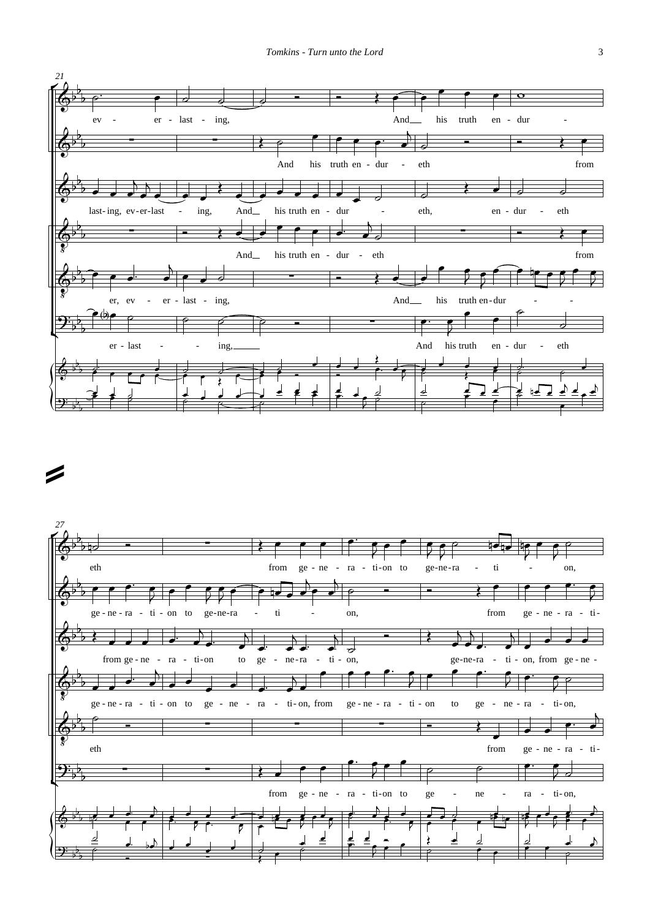



 $\overline{\phantom{a}}$